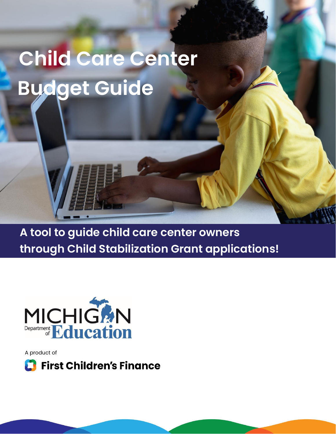# **Child Care Center Budget Guide**

**A tool to guide child care center owners through Child Stabilization Grant applications!**



A product of

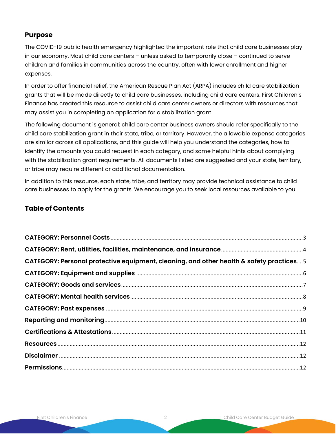#### **Purpose**

The COVID-19 public health emergency highlighted the important role that child care businesses play in our economy. Most child care centers – unless asked to temporarily close – continued to serve children and families in communities across the country, often with lower enrollment and higher expenses.

In order to offer financial relief, the American Rescue Plan Act (ARPA) includes child care stabilization grants that will be made directly to child care businesses, including child care centers. First Children's Finance has created this resource to assist child care center owners or directors with resources that may assist you in completing an application for a stabilization grant.

The following document is general: child care center business owners should refer specifically to the child care stabilization grant in their state, tribe, or territory. However, the allowable expense categories are similar across all applications, and this guide will help you understand the categories, how to identify the amounts you could request in each category, and some helpful hints about complying with the stabilization grant requirements. All documents listed are suggested and your state, territory, or tribe may require different or additional documentation.

In addition to this resource, each state, tribe, and territory may provide technical assistance to child care businesses to apply for the grants. We encourage you to seek local resources available to you.

#### **Table of Contents**

| CATEGORY: Personal protective equipment, cleaning, and other health & safety practices5 |  |
|-----------------------------------------------------------------------------------------|--|
|                                                                                         |  |
|                                                                                         |  |
|                                                                                         |  |
|                                                                                         |  |
|                                                                                         |  |
|                                                                                         |  |
|                                                                                         |  |
|                                                                                         |  |
|                                                                                         |  |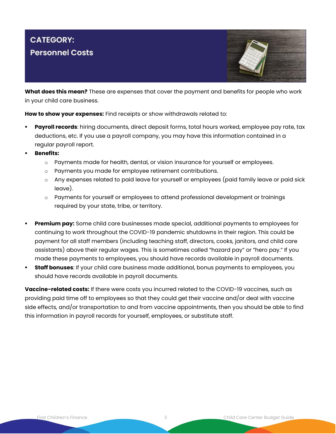# **CATEGORY: Personnel Costs**



**What does this mean?** These are expenses that cover the payment and benefits for people who work in your child care business.

**How to show your expenses:** Find receipts or show withdrawals related to:

- **Payroll records**: hiring documents, direct deposit forms, total hours worked, employee pay rate, tax deductions, etc. If you use a payroll company, you may have this information contained in a regular payroll report.
- **Benefits:** 
	- $\circ$  Payments made for health, dental, or vision insurance for yourself or employees.
	- o Payments you made for employee retirement contributions.
	- $\circ$  Any expenses related to paid leave for yourself or employees (paid family leave or paid sick leave).
	- $\circ$  Payments for yourself or employees to attend professional development or trainings required by your state, tribe, or territory.
- **Premium pay:** Some child care businesses made special, additional payments to employees for continuing to work throughout the COVID-19 pandemic shutdowns in their region. This could be payment for all staff members (including teaching staff, directors, cooks, janitors, and child care assistants) above their regular wages. This is sometimes called "hazard pay" or "hero pay." If you made these payments to employees, you should have records available in payroll documents.
- **Example 1 Staff bonuses**: If your child care business made additional, bonus payments to employees, you should have records available in payroll documents.

**Vaccine-related costs:** If there were costs you incurred related to the COVID-19 vaccines, such as providing paid time off to employees so that they could get their vaccine and/or deal with vaccine side effects, and/or transportation to and from vaccine appointments, then you should be able to find this information in payroll records for yourself, employees, or substitute staff.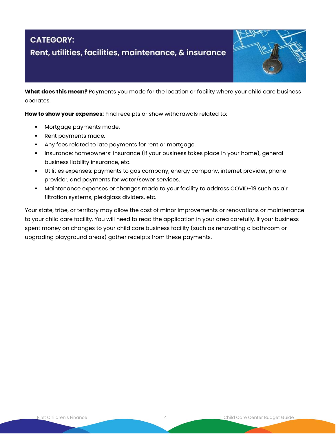#### **CATEGORY:** Rent, utilities, facilities, maintenance, & insurance



**What does this mean?** Payments you made for the location or facility where your child care business operates.

**How to show your expenses:** Find receipts or show withdrawals related to:

- Mortgage payments made.
- Rent payments made.
- Any fees related to late payments for rent or mortgage.
- Insurance: homeowners' insurance (if your business takes place in your home), general business liability insurance, etc.
- Utilities expenses: payments to gas company, energy company, internet provider, phone provider, and payments for water/sewer services.
- Maintenance expenses or changes made to your facility to address COVID-19 such as air filtration systems, plexiglass dividers, etc.

Your state, tribe, or territory may allow the cost of minor improvements or renovations or maintenance to your child care facility. You will need to read the application in your area carefully. If your business spent money on changes to your child care business facility (such as renovating a bathroom or upgrading playground areas) gather receipts from these payments.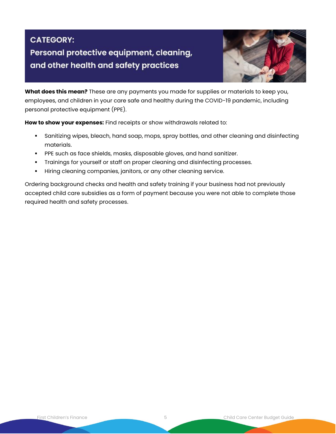# **CATEGORY:** Personal protective equipment, cleaning, and other health and safety practices



**What does this mean?** These are any payments you made for supplies or materials to keep you, employees, and children in your care safe and healthy during the COVID-19 pandemic, including personal protective equipment (PPE).

**How to show your expenses:** Find receipts or show withdrawals related to:

- Sanitizing wipes, bleach, hand soap, mops, spray bottles, and other cleaning and disinfecting materials.
- **•** PPE such as face shields, masks, disposable gloves, and hand sanitizer.
- Trainings for yourself or staff on proper cleaning and disinfecting processes.
- Hiring cleaning companies, janitors, or any other cleaning service.

Ordering background checks and health and safety training if your business had not previously accepted child care subsidies as a form of payment because you were not able to complete those required health and safety processes.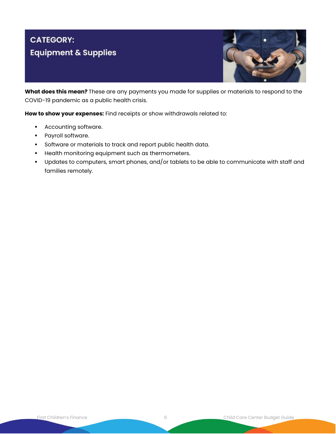# **CATEGORY: Equipment & Supplies**



**What does this mean?** These are any payments you made for supplies or materials to respond to the COVID-19 pandemic as a public health crisis.

**How to show your expenses:** Find receipts or show withdrawals related to:

- Accounting software.
- Payroll software.
- Software or materials to track and report public health data.
- **•** Health monitoring equipment such as thermometers.
- Updates to computers, smart phones, and/or tablets to be able to communicate with staff and families remotely.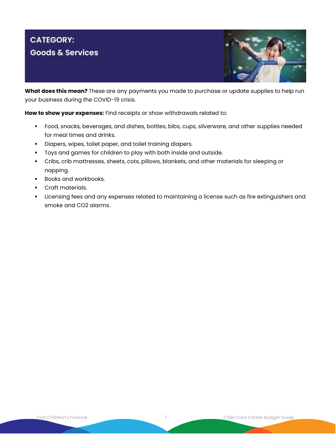## **CATEGORY: Goods & Services**



**What does this mean?** These are any payments you made to purchase or update supplies to help run your business during the COVID-19 crisis.

**How to show your expenses:** Find receipts or show withdrawals related to:

- Food, snacks, beverages, and dishes, bottles, bibs, cups, silverware, and other supplies needed for meal times and drinks.
- Diapers, wipes, toilet paper, and toilet training diapers.
- Toys and games for children to play with both inside and outside.
- Cribs, crib mattresses, sheets, cots, pillows, blankets, and other materials for sleeping or napping.
- Books and workbooks.
- Craft materials.
- **.** Licensing fees and any expenses related to maintaining a license such as fire extinguishers and smoke and CO2 alarms.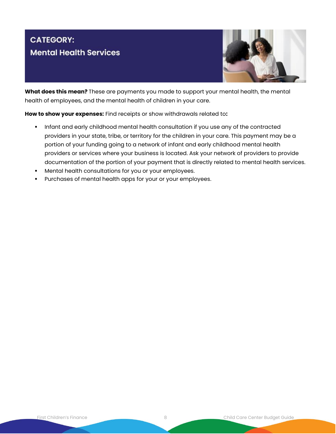### **CATEGORY: Mental Health Services**



**What does this mean?** These are payments you made to support your mental health, the mental health of employees, and the mental health of children in your care.

**How to show your expenses:** Find receipts or show withdrawals related to**:**

- Infant and early childhood mental health consultation if you use any of the contracted providers in your state, tribe, or territory for the children in your care. This payment may be a portion of your funding going to a network of infant and early childhood mental health providers or services where your business is located. Ask your network of providers to provide documentation of the portion of your payment that is directly related to mental health services.
- Mental health consultations for you or your employees.
- Purchases of mental health apps for your or your employees.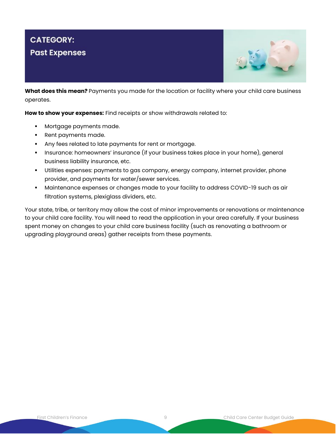### **CATEGORY: Past Expenses**



**What does this mean?** Payments you made for the location or facility where your child care business operates.

**How to show your expenses:** Find receipts or show withdrawals related to:

- Mortgage payments made.
- Rent payments made.
- Any fees related to late payments for rent or mortgage.
- Insurance: homeowners' insurance (if your business takes place in your home), general business liability insurance, etc.
- Utilities expenses: payments to gas company, energy company, internet provider, phone provider, and payments for water/sewer services.
- Maintenance expenses or changes made to your facility to address COVID-19 such as air filtration systems, plexiglass dividers, etc.

Your state, tribe, or territory may allow the cost of minor improvements or renovations or maintenance to your child care facility. You will need to read the application in your area carefully. If your business spent money on changes to your child care business facility (such as renovating a bathroom or upgrading playground areas) gather receipts from these payments.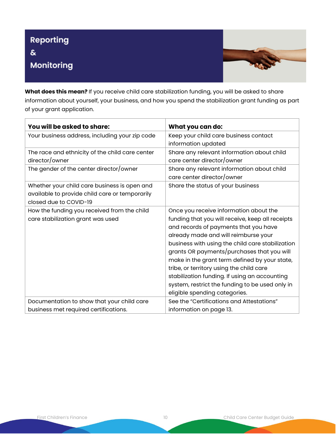

**What does this mean?** If you receive child care stabilization funding, you will be asked to share information about yourself, your business, and how you spend the stabilization grant funding as part of your grant application.

| You will be asked to share:                                                                                              | What you can do:                                                                                                                                                                                                                                                                                                                                                                                                                                                                                                |
|--------------------------------------------------------------------------------------------------------------------------|-----------------------------------------------------------------------------------------------------------------------------------------------------------------------------------------------------------------------------------------------------------------------------------------------------------------------------------------------------------------------------------------------------------------------------------------------------------------------------------------------------------------|
| Your business address, including your zip code                                                                           | Keep your child care business contact<br>information updated                                                                                                                                                                                                                                                                                                                                                                                                                                                    |
| The race and ethnicity of the child care center<br>director/owner                                                        | Share any relevant information about child<br>care center director/owner                                                                                                                                                                                                                                                                                                                                                                                                                                        |
| The gender of the center director/owner                                                                                  | Share any relevant information about child<br>care center director/owner                                                                                                                                                                                                                                                                                                                                                                                                                                        |
| Whether your child care business is open and<br>available to provide child care or temporarily<br>closed due to COVID-19 | Share the status of your business                                                                                                                                                                                                                                                                                                                                                                                                                                                                               |
| How the funding you received from the child<br>care stabilization grant was used                                         | Once you receive information about the<br>funding that you will receive, keep all receipts<br>and records of payments that you have<br>already made and will reimburse your<br>business with using the child care stabilization<br>grants OR payments/purchases that you will<br>make in the grant term defined by your state,<br>tribe, or territory using the child care<br>stabilization funding. If using an accounting<br>system, restrict the funding to be used only in<br>eligible spending categories. |
| Documentation to show that your child care<br>business met required certifications.                                      | See the "Certifications and Attestations"<br>information on page 13.                                                                                                                                                                                                                                                                                                                                                                                                                                            |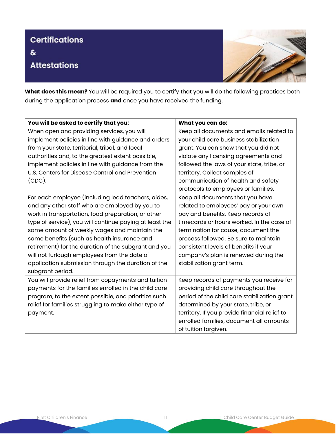# **Certifications**  $\delta$ **Attestations**



**What does this mean?** You will be required you to certify that you will do the following practices both during the application process **and** once you have received the funding.

| You will be asked to certify that you:                  | What you can do:                              |
|---------------------------------------------------------|-----------------------------------------------|
| When open and providing services, you will              | Keep all documents and emails related to      |
| implement policies in line with guidance and orders     | your child care business stabilization        |
| from your state, territorial, tribal, and local         | grant. You can show that you did not          |
| authorities and, to the greatest extent possible,       | violate any licensing agreements and          |
| implement policies in line with guidance from the       | followed the laws of your state, tribe, or    |
| U.S. Centers for Disease Control and Prevention         | territory. Collect samples of                 |
| $(CDC)$ .                                               | communication of health and safety            |
|                                                         | protocols to employees or families.           |
| For each employee (including lead teachers, aides,      | Keep all documents that you have              |
| and any other staff who are employed by you to          | related to employees' pay or your own         |
| work in transportation, food preparation, or other      | pay and benefits. Keep records of             |
| type of service), you will continue paying at least the | timecards or hours worked. In the case of     |
| same amount of weekly wages and maintain the            | termination for cause, document the           |
| same benefits (such as health insurance and             | process followed. Be sure to maintain         |
| retirement) for the duration of the subgrant and you    | consistent levels of benefits if your         |
| will not furlough employees from the date of            | company's plan is renewed during the          |
| application submission through the duration of the      | stabilization grant term.                     |
| subgrant period.                                        |                                               |
| You will provide relief from copayments and tuition     | Keep records of payments you receive for      |
| payments for the families enrolled in the child care    | providing child care throughout the           |
| program, to the extent possible, and prioritize such    | period of the child care stabilization grant  |
| relief for families struggling to make either type of   | determined by your state, tribe, or           |
| payment.                                                | territory. If you provide financial relief to |
|                                                         | enrolled families, document all amounts       |
|                                                         | of tuition forgiven.                          |